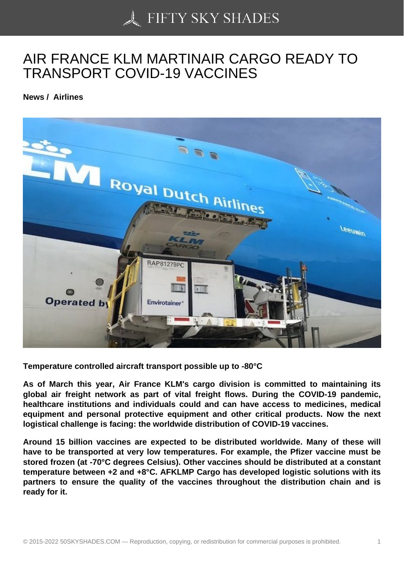## [AIR FRANCE KLM MA](https://50skyshades.com)RTINAIR CARGO READY TO TRANSPORT COVID-19 VACCINES

News / Airlines

Temperature controlled aircraft transport possible up to -80°C

As of March this year, Air France KLM's cargo division is committed to maintaining its global air freight network as part of vital freight flows. During the COVID-19 pandemic, healthcare institutions and individuals could and can have access to medicines, medical equipment and personal protective equipment and other critical products. Now the next logistical challenge is facing: the worldwide distribution of COVID-19 vaccines.

Around 15 billion vaccines are expected to be distributed worldwide. Many of these will have to be transported at very low temperatures. For example, the Pfizer vaccine must be stored frozen (at -70°C degrees Celsius). Other vaccines should be distributed at a constant temperature between +2 and +8°C. AFKLMP Cargo has developed logistic solutions with its partners to ensure the quality of the vaccines throughout the distribution chain and is ready for it.